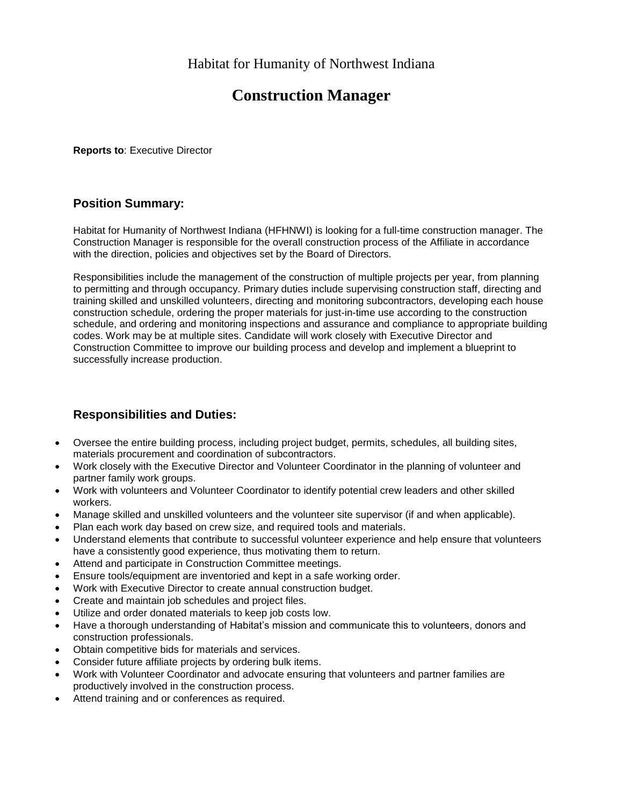# **Construction Manager**

**Reports to**: Executive Director

### **Position Summary:**

Habitat for Humanity of Northwest Indiana (HFHNWI) is looking for a full-time construction manager. The Construction Manager is responsible for the overall construction process of the Affiliate in accordance with the direction, policies and objectives set by the Board of Directors.

Responsibilities include the management of the construction of multiple projects per year, from planning to permitting and through occupancy. Primary duties include supervising construction staff, directing and training skilled and unskilled volunteers, directing and monitoring subcontractors, developing each house construction schedule, ordering the proper materials for just-in-time use according to the construction schedule, and ordering and monitoring inspections and assurance and compliance to appropriate building codes. Work may be at multiple sites. Candidate will work closely with Executive Director and Construction Committee to improve our building process and develop and implement a blueprint to successfully increase production.

# **Responsibilities and Duties:**

- Oversee the entire building process, including project budget, permits, schedules, all building sites, materials procurement and coordination of subcontractors.
- Work closely with the Executive Director and Volunteer Coordinator in the planning of volunteer and partner family work groups.
- Work with volunteers and Volunteer Coordinator to identify potential crew leaders and other skilled workers.
- Manage skilled and unskilled volunteers and the volunteer site supervisor (if and when applicable).
- Plan each work day based on crew size, and required tools and materials.
- Understand elements that contribute to successful volunteer experience and help ensure that volunteers have a consistently good experience, thus motivating them to return.
- Attend and participate in Construction Committee meetings.
- Ensure tools/equipment are inventoried and kept in a safe working order.
- Work with Executive Director to create annual construction budget.
- Create and maintain job schedules and project files.
- Utilize and order donated materials to keep job costs low.
- Have a thorough understanding of Habitat's mission and communicate this to volunteers, donors and construction professionals.
- Obtain competitive bids for materials and services.
- Consider future affiliate projects by ordering bulk items.
- Work with Volunteer Coordinator and advocate ensuring that volunteers and partner families are productively involved in the construction process.
- Attend training and or conferences as required.